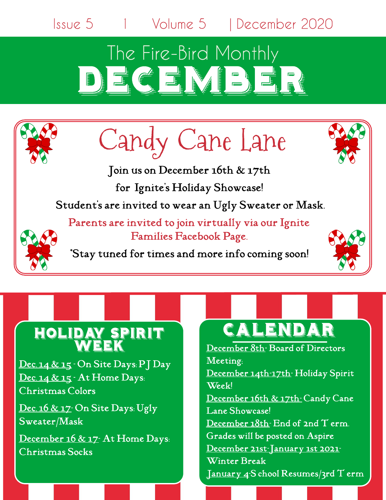Issue 5 1 Volume 5 | December 2020

## The Fire-Bird Monthly DEC ENDERE

# Candy Cane Lane

Join uson December 16th & 17th for Ignite's Holiday Showcase! Student's are invited to wear an Ugly Sweater or Mask. Parents are invited to join virtually via our Ignite



\*Stay tuned for times and more info coming soon!

Families Facebook Page.



### HOLIDAY SPIRI' **WEEK**

Dec. 14 & 15  $\cdot$  On Site Days: PJ Day  $Dec.14 & 15 \cdot At Home$  Days: ChristmasColors

Dec. 16 & 17 On Site Days: Ugly Sweater/Mask

December 16 & 17 At Home Days: Christmas Socks

## **CALENDAR**

December 8th-Board of Directors Meeting; December 14th-17th-Holiday Spirit Week! December 16th & 17th-Candy Cane Lane Showcase! December  $18th$ - End of 2nd  $T$  erm. Grades will be posted on Aspire December 21st-January 1st 2021-

Winter Break January 4-S chool Resumes/3rd T erm